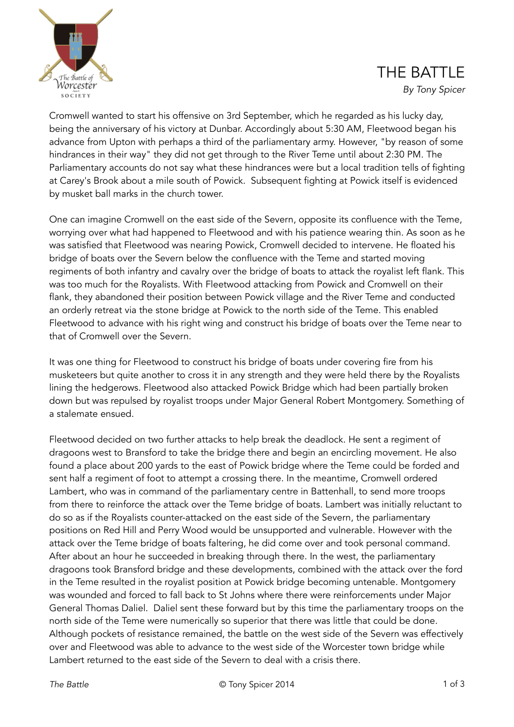

## THE BATTLE

*By Tony Spicer* 

Cromwell wanted to start his offensive on 3rd September, which he regarded as his lucky day, being the anniversary of his victory at Dunbar. Accordingly about 5:30 AM, Fleetwood began his advance from Upton with perhaps a third of the parliamentary army. However, "by reason of some hindrances in their way" they did not get through to the River Teme until about 2:30 PM. The Parliamentary accounts do not say what these hindrances were but a local tradition tells of fighting at Carey's Brook about a mile south of Powick. Subsequent fighting at Powick itself is evidenced by musket ball marks in the church tower.

One can imagine Cromwell on the east side of the Severn, opposite its confluence with the Teme, worrying over what had happened to Fleetwood and with his patience wearing thin. As soon as he was satisfied that Fleetwood was nearing Powick, Cromwell decided to intervene. He floated his bridge of boats over the Severn below the confluence with the Teme and started moving regiments of both infantry and cavalry over the bridge of boats to attack the royalist left flank. This was too much for the Royalists. With Fleetwood attacking from Powick and Cromwell on their flank, they abandoned their position between Powick village and the River Teme and conducted an orderly retreat via the stone bridge at Powick to the north side of the Teme. This enabled Fleetwood to advance with his right wing and construct his bridge of boats over the Teme near to that of Cromwell over the Severn.

It was one thing for Fleetwood to construct his bridge of boats under covering fire from his musketeers but quite another to cross it in any strength and they were held there by the Royalists lining the hedgerows. Fleetwood also attacked Powick Bridge which had been partially broken down but was repulsed by royalist troops under Major General Robert Montgomery. Something of a stalemate ensued.

Fleetwood decided on two further attacks to help break the deadlock. He sent a regiment of dragoons west to Bransford to take the bridge there and begin an encircling movement. He also found a place about 200 yards to the east of Powick bridge where the Teme could be forded and sent half a regiment of foot to attempt a crossing there. In the meantime, Cromwell ordered Lambert, who was in command of the parliamentary centre in Battenhall, to send more troops from there to reinforce the attack over the Teme bridge of boats. Lambert was initially reluctant to do so as if the Royalists counter-attacked on the east side of the Severn, the parliamentary positions on Red Hill and Perry Wood would be unsupported and vulnerable. However with the attack over the Teme bridge of boats faltering, he did come over and took personal command. After about an hour he succeeded in breaking through there. In the west, the parliamentary dragoons took Bransford bridge and these developments, combined with the attack over the ford in the Teme resulted in the royalist position at Powick bridge becoming untenable. Montgomery was wounded and forced to fall back to St Johns where there were reinforcements under Major General Thomas Daliel. Daliel sent these forward but by this time the parliamentary troops on the north side of the Teme were numerically so superior that there was little that could be done. Although pockets of resistance remained, the battle on the west side of the Severn was effectively over and Fleetwood was able to advance to the west side of the Worcester town bridge while Lambert returned to the east side of the Severn to deal with a crisis there.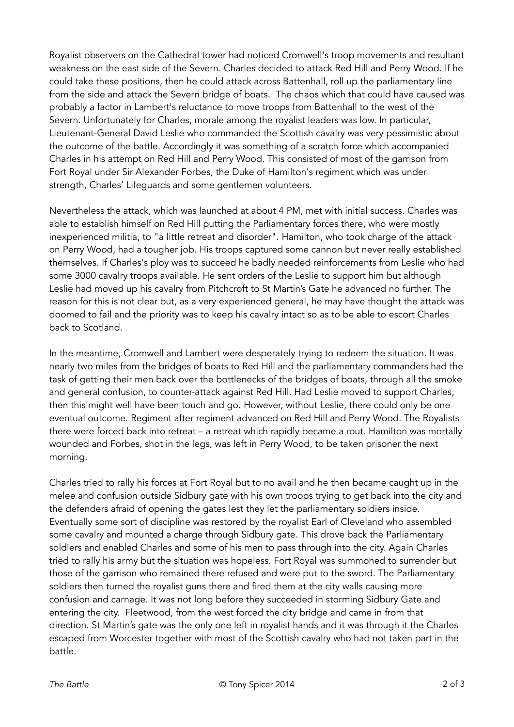Royalist observers on the Cathedral tower had noticed Cromwell's troop movements and resultant weakness on the east side of the Severn. Charles decided to attack Red Hill and Perry Wood. If he could take these positions, then he could attack across Battenhall, roll up the parliamentary line from the side and attack the Severn bridge of boats. The chaos which that could have caused was probably a factor in Lambert's reluctance to move troops from Battenhall to the west of the Severn. Unfortunately for Charles, morale among the royalist leaders was low. In particular, Lieutenant-General David Leslie who commanded the Scottish cavalry was very pessimistic about the outcome of the battle. Accordingly it was something of a scratch force which accompanied Charles in his attempt on Red Hill and Perry Wood. This consisted of most of the garrison from Fort Royal under Sir Alexander Forbes, the Duke of Hamilton's regiment which was under strength, Charles' Lifeguards and some gentlemen volunteers.

Nevertheless the attack, which was launched at about 4 PM, met with initial success. Charles was able to establish himself on Red Hill putting the Parliamentary forces there, who were mostly inexperienced militia, to "a little retreat and disorder". Hamilton, who took charge of the attack on Perry Wood, had a tougher job. His troops captured some cannon but never really established themselves. If Charles's ploy was to succeed he badly needed reinforcements from Leslie who had some 3000 cavalry troops available. He sent orders of the Leslie to support him but although Leslie had moved up his cavalry from Pitchcroft to St Martin's Gate he advanced no further. The reason for this is not clear but, as a very experienced general, he may have thought the attack was doomed to fail and the priority was to keep his cavalry intact so as to be able to escort Charles back to Scotland.

In the meantime, Cromwell and Lambert were desperately trying to redeem the situation. It was nearly two miles from the bridges of boats to Red Hill and the parliamentary commanders had the task of getting their men back over the bottlenecks of the bridges of boats, through all the smoke and general confusion, to counter-attack against Red Hill. Had Leslie moved to support Charles, then this might well have been touch and go. However, without Leslie, there could only be one eventual outcome. Regiment after regiment advanced on Red Hill and Perry Wood. The Royalists there were forced back into retreat – a retreat which rapidly became a rout. Hamilton was mortally wounded and Forbes, shot in the legs, was left in Perry Wood, to be taken prisoner the next morning.

Charles tried to rally his forces at Fort Royal but to no avail and he then became caught up in the melee and confusion outside Sidbury gate with his own troops trying to get back into the city and the defenders afraid of opening the gates lest they let the parliamentary soldiers inside. Eventually some sort of discipline was restored by the royalist Earl of Cleveland who assembled some cavalry and mounted a charge through Sidbury gate. This drove back the Parliamentary soldiers and enabled Charles and some of his men to pass through into the city. Again Charles tried to rally his army but the situation was hopeless. Fort Royal was summoned to surrender but those of the garrison who remained there refused and were put to the sword. The Parliamentary soldiers then turned the royalist guns there and fired them at the city walls causing more confusion and carnage. It was not long before they succeeded in storming Sidbury Gate and entering the city. Fleetwood, from the west forced the city bridge and came in from that direction. St Martin's gate was the only one left in royalist hands and it was through it the Charles escaped from Worcester together with most of the Scottish cavalry who had not taken part in the battle.